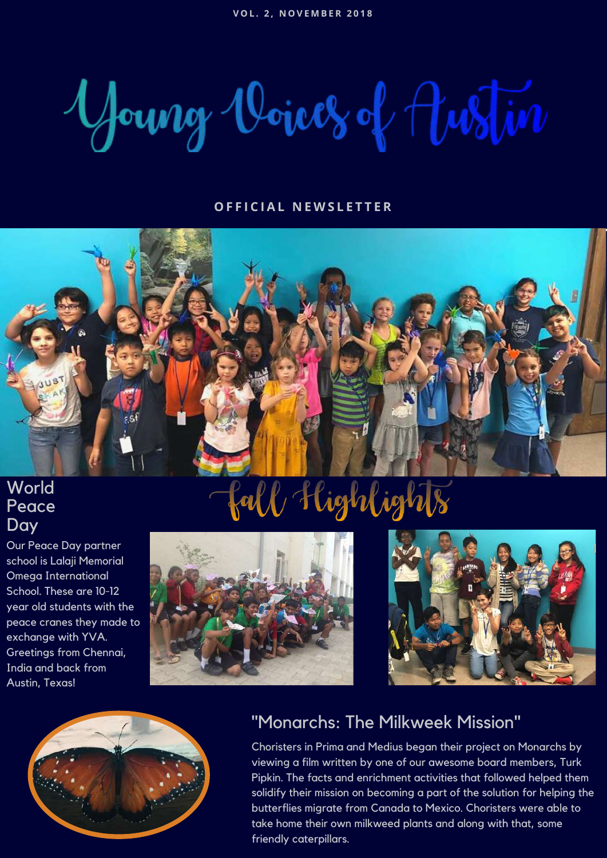Young Voices of Justin

#### **O F F I C I A L N E W S L E T T E R**



## **World** Peace **Day**

Our Peace Day partner school is Lalaji Memorial Omega International School. These are 10-12 year old students with the peace cranes they made to exchange with YVA. Greetings from Chennai, India and back from Austin, Texas!

# fall Highlights







## "Monarchs: The Milkweek Mission"

Choristers in Prima and Medius began their project on Monarchs by viewing a film written by one of our awesome board members, Turk Pipkin. The facts and enrichment activities that followed helped them solidify their mission on becoming a part of the solution for helping the butterflies migrate from Canada to Mexico. Choristers were able to take home their own milkweed plants and along with that, some friendly caterpillars.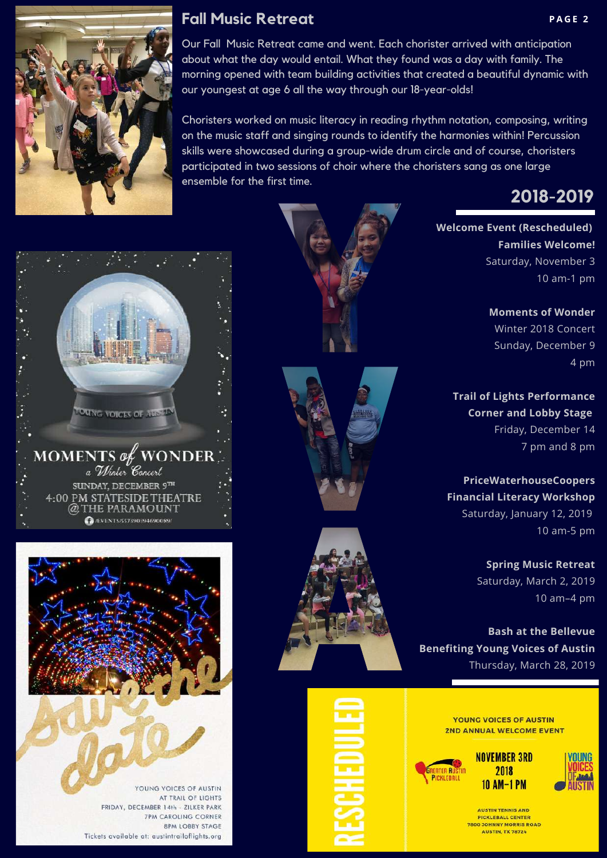

### **Fall Music Retreat PAGE 2**

Our Fall Music Retreat came and went. Each chorister arrived with anticipation about what the day would entail. What they found was a day with family. The morning opened with team building activities that created a beautiful dynamic with our youngest at age 6 all the way through our 18-year-olds!

Choristers worked on music literacy in reading rhythm notation, composing, writing on the music staff and singing rounds to identify the harmonies within! Percussion skills were showcased during a group-wide drum circle and of course, choristers participated in two sessions of choir where the choristers sang as one large ensemble for the first time.



**Welcome Event (Rescheduled) Families Welcome!** Saturday, November 3 10 am-1 pm

> **Moments of Wonder** Winter 2018 Concert Sunday, December 9 4 pm

**Trail of Lights Performance Corner and Lobby Stage** Friday, December 14 7 pm and 8 pm

**PriceWaterhouseCoopers Financial Literacy Workshop** Saturday, January 12, 2019 10 am-5 pm

> **Spring Music Retreat** Saturday, March 2, 2019 10 am–4 pm

**Bash at the Bellevue Benefiting Young Voices of Austin** Thursday, March 28, 2019

> **YOUNG VOICES OF AUSTIN 2ND ANNUAL WELCOME EVENT**







**AUSTIN TENNIS AND PICKLEBALL CENTER** 7800 JOHNNY MORRIS ROAD **AUSTIN, TX 78724** 





YOUNG VOICES OF AUSTIN AT TRAIL OF LIGHTS FRIDAY, DECEMBER 14th - ZILKER PARK **7PM CAROLING CORNER 8PM LOBBY STAGE** Tickets available at: austintrailoflights.org